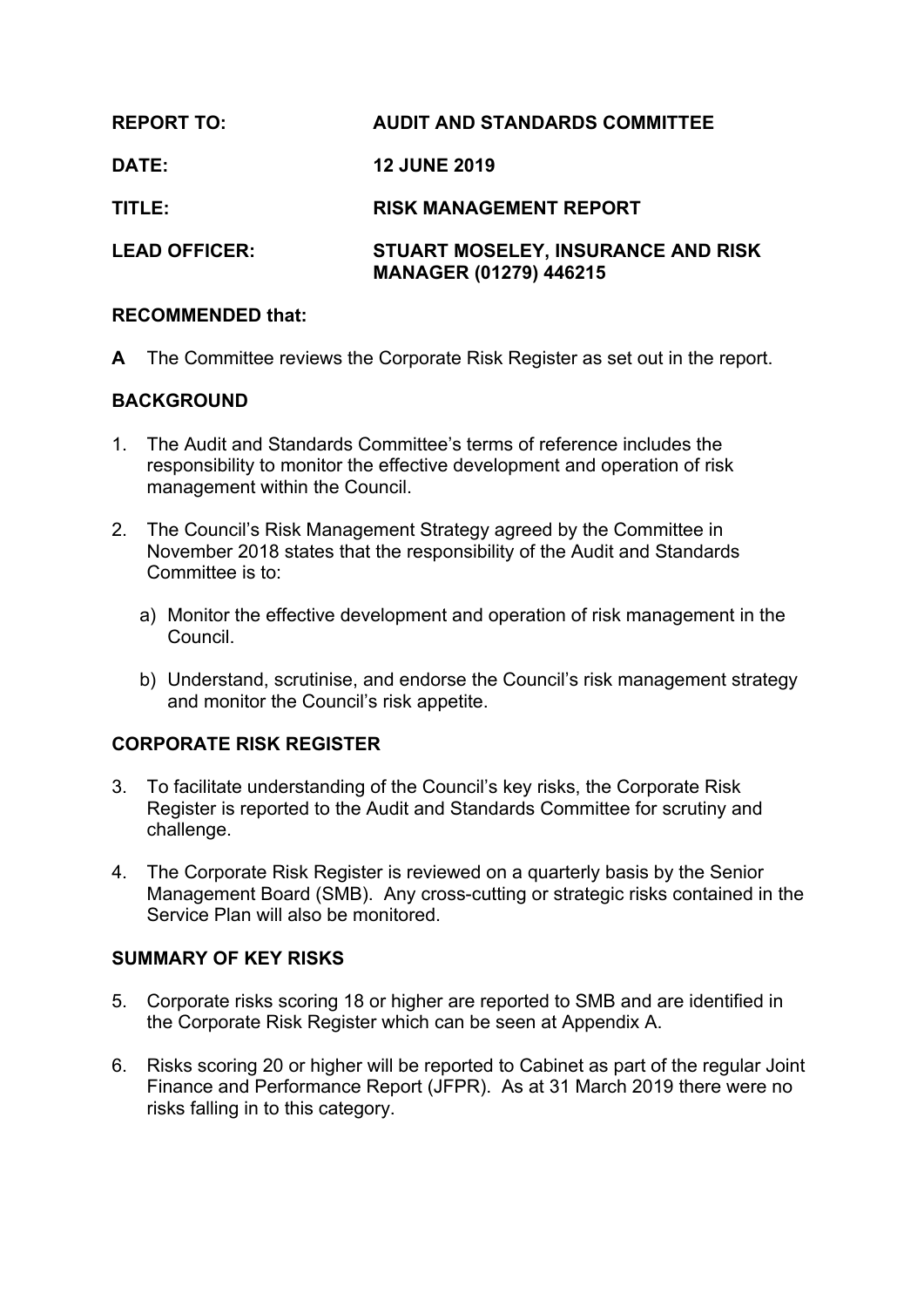| <b>REPORT TO:</b>    | <b>AUDIT AND STANDARDS COMMITTEE</b>                                |
|----------------------|---------------------------------------------------------------------|
| DATE:                | <b>12 JUNE 2019</b>                                                 |
| TITLE:               | <b>RISK MANAGEMENT REPORT</b>                                       |
| <b>LEAD OFFICER:</b> | STUART MOSELEY, INSURANCE AND RISK<br><b>MANAGER (01279) 446215</b> |

## **RECOMMENDED that:**

**A** The Committee reviews the Corporate Risk Register as set out in the report.

# **BACKGROUND**

- 1. The Audit and Standards Committee's terms of reference includes the responsibility to monitor the effective development and operation of risk management within the Council.
- 2. The Council's Risk Management Strategy agreed by the Committee in November 2018 states that the responsibility of the Audit and Standards Committee is to:
	- a) Monitor the effective development and operation of risk management in the Council.
	- b) Understand, scrutinise, and endorse the Council's risk management strategy and monitor the Council's risk appetite.

# **CORPORATE RISK REGISTER**

- 3. To facilitate understanding of the Council's key risks, the Corporate Risk Register is reported to the Audit and Standards Committee for scrutiny and challenge.
- 4. The Corporate Risk Register is reviewed on a quarterly basis by the Senior Management Board (SMB). Any cross-cutting or strategic risks contained in the Service Plan will also be monitored.

### **SUMMARY OF KEY RISKS**

- 5. Corporate risks scoring 18 or higher are reported to SMB and are identified in the Corporate Risk Register which can be seen at Appendix A.
- 6. Risks scoring 20 or higher will be reported to Cabinet as part of the regular Joint Finance and Performance Report (JFPR). As at 31 March 2019 there were no risks falling in to this category.